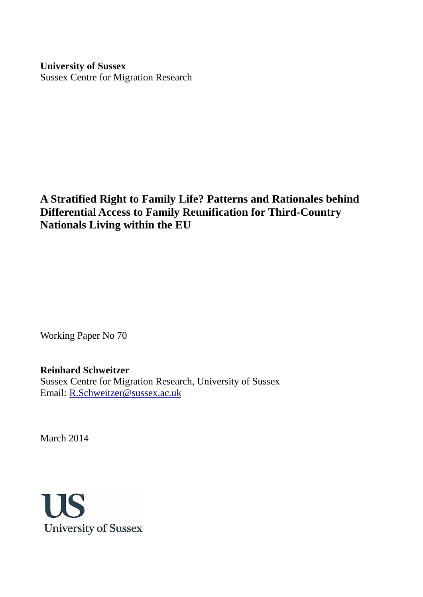**University of Sussex** Sussex Centre for Migration Research

**A Stratified Right to Family Life? Patterns and Rationales behind Differential Access to Family Reunification for Third-Country Nationals Living within the EU**

Working Paper No 70

# **Reinhard Schweitzer**

Sussex Centre for Migration Research, University of Sussex Email: [R.Schweitzer@sussex.ac.uk](mailto:R.Schweitzer@sussex.ac.uk)

March 2014

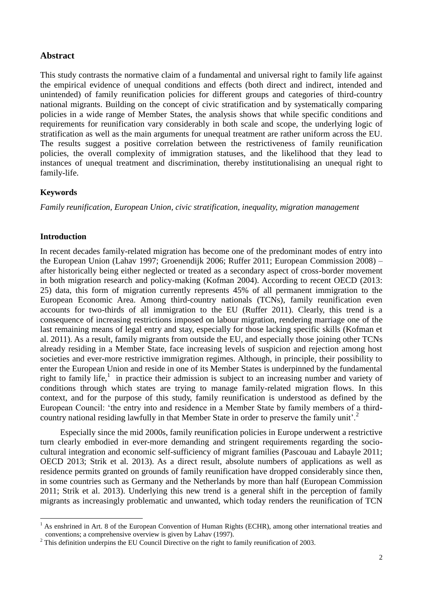# **Abstract**

This study contrasts the normative claim of a fundamental and universal right to family life against the empirical evidence of unequal conditions and effects (both direct and indirect, intended and unintended) of family reunification policies for different groups and categories of third-country national migrants. Building on the concept of civic stratification and by systematically comparing policies in a wide range of Member States, the analysis shows that while specific conditions and requirements for reunification vary considerably in both scale and scope, the underlying logic of stratification as well as the main arguments for unequal treatment are rather uniform across the EU. The results suggest a positive correlation between the restrictiveness of family reunification policies, the overall complexity of immigration statuses, and the likelihood that they lead to instances of unequal treatment and discrimination, thereby institutionalising an unequal right to family-life.

# **Keywords**

*Family reunification, European Union, civic stratification, inequality, migration management*

# **Introduction**

1

In recent decades family-related migration has become one of the predominant modes of entry into the European Union (Lahav 1997; Groenendijk 2006; Ruffer 2011; European Commission 2008) – after historically being either neglected or treated as a secondary aspect of cross-border movement in both migration research and policy-making (Kofman 2004). According to recent OECD (2013: 25) data, this form of migration currently represents 45% of all permanent immigration to the European Economic Area. Among third-country nationals (TCNs), family reunification even accounts for two-thirds of all immigration to the EU (Ruffer 2011). Clearly, this trend is a consequence of increasing restrictions imposed on labour migration, rendering marriage one of the last remaining means of legal entry and stay, especially for those lacking specific skills (Kofman et al. 2011). As a result, family migrants from outside the EU, and especially those joining other TCNs already residing in a Member State, face increasing levels of suspicion and rejection among host societies and ever-more restrictive immigration regimes. Although, in principle, their possibility to enter the European Union and reside in one of its Member States is underpinned by the fundamental right to family life,<sup>1</sup> in practice their admission is subject to an increasing number and variety of conditions through which states are trying to manage family-related migration flows. In this context, and for the purpose of this study, family reunification is understood as defined by the European Council: "the entry into and residence in a Member State by family members of a thirdcountry national residing lawfully in that Member State in order to preserve the family unit'.<sup>2</sup> Ì

Especially since the mid 2000s, family reunification policies in Europe underwent a restrictive turn clearly embodied in ever-more demanding and stringent requirements regarding the sociocultural integration and economic self-sufficiency of migrant families (Pascouau and Labayle 2011; OECD 2013; Strik et al. 2013). As a direct result, absolute numbers of applications as well as residence permits granted on grounds of family reunification have dropped considerably since then, in some countries such as Germany and the Netherlands by more than half (European Commission 2011; Strik et al. 2013). Underlying this new trend is a general shift in the perception of family migrants as increasingly problematic and unwanted, which today renders the reunification of TCN

<sup>&</sup>lt;sup>1</sup> As enshrined in Art. 8 of the European Convention of Human Rights (ECHR), among other international treaties and conventions; a comprehensive overview is given by Lahav (1997).

<sup>&</sup>lt;sup>2</sup> This definition underpins the EU Council Directive on the right to family reunification of 2003.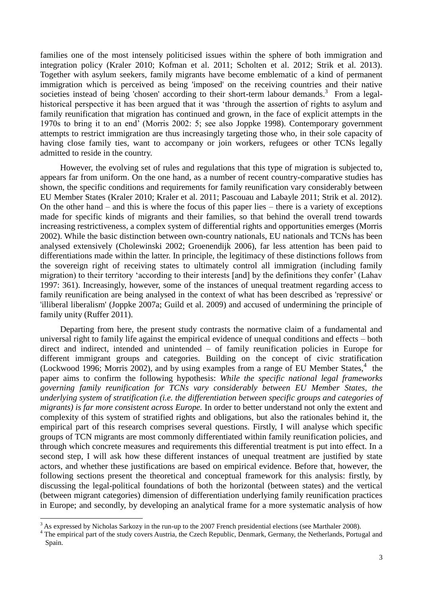families one of the most intensely politicised issues within the sphere of both immigration and integration policy (Kraler 2010; Kofman et al. 2011; Scholten et al. 2012; Strik et al. 2013). Together with asylum seekers, family migrants have become emblematic of a kind of permanent immigration which is perceived as being 'imposed' on the receiving countries and their native societies instead of being 'chosen' according to their short-term labour demands.<sup>3</sup> From a legalhistorical perspective it has been argued that it was "through the assertion of rights to asylum and family reunification that migration has continued and grown, in the face of explicit attempts in the 1970s to bring it to an end" (Morris 2002: 5; see also Joppke 1998). Contemporary government attempts to restrict immigration are thus increasingly targeting those who, in their sole capacity of having close family ties, want to accompany or join workers, refugees or other TCNs legally admitted to reside in the country.

However, the evolving set of rules and regulations that this type of migration is subjected to, appears far from uniform. On the one hand, as a number of recent country-comparative studies has shown, the specific conditions and requirements for family reunification vary considerably between EU Member States (Kraler 2010; Kraler et al. 2011; Pascouau and Labayle 2011; Strik et al. 2012). On the other hand – and this is where the focus of this paper lies – there is a variety of exceptions made for specific kinds of migrants and their families, so that behind the overall trend towards increasing restrictiveness, a complex system of differential rights and opportunities emerges (Morris 2002). While the basic distinction between own-country nationals, EU nationals and TCNs has been analysed extensively (Cholewinski 2002; Groenendijk 2006), far less attention has been paid to differentiations made within the latter. In principle, the legitimacy of these distinctions follows from the sovereign right of receiving states to ultimately control all immigration (including family migration) to their territory 'according to their interests [and] by the definitions they confer' (Lahav 1997: 361). Increasingly, however, some of the instances of unequal treatment regarding access to family reunification are being analysed in the context of what has been described as 'repressive' or 'illiberal liberalism' (Joppke 2007a; Guild et al. 2009) and accused of undermining the principle of family unity (Ruffer 2011).

Departing from here, the present study contrasts the normative claim of a fundamental and universal right to family life against the empirical evidence of unequal conditions and effects – both direct and indirect, intended and unintended – of family reunification policies in Europe for different immigrant groups and categories. Building on the concept of civic stratification (Lockwood 1996; Morris 2002), and by using examples from a range of EU Member States, $4$  the paper aims to confirm the following hypothesis: *While the specific national legal frameworks governing family reunification for TCNs vary considerably between EU Member States, the underlying system of stratification (i.e. the differentiation between specific groups and categories of migrants) is far more consistent across Europe.* In order to better understand not only the extent and complexity of this system of stratified rights and obligations, but also the rationales behind it, the empirical part of this research comprises several questions. Firstly, I will analyse which specific groups of TCN migrants are most commonly differentiated within family reunification policies, and through which concrete measures and requirements this differential treatment is put into effect. In a second step, I will ask how these different instances of unequal treatment are justified by state actors, and whether these justifications are based on empirical evidence. Before that, however, the following sections present the theoretical and conceptual framework for this analysis: firstly, by discussing the legal-political foundations of both the horizontal (between states) and the vertical (between migrant categories) dimension of differentiation underlying family reunification practices in Europe; and secondly, by developing an analytical frame for a more systematic analysis of how

<sup>&</sup>lt;sup>3</sup> As expressed by Nicholas Sarkozy in the run-up to the 2007 French presidential elections (see Marthaler 2008).

<sup>&</sup>lt;sup>4</sup> The empirical part of the study covers Austria, the Czech Republic, Denmark, Germany, the Netherlands, Portugal and Spain.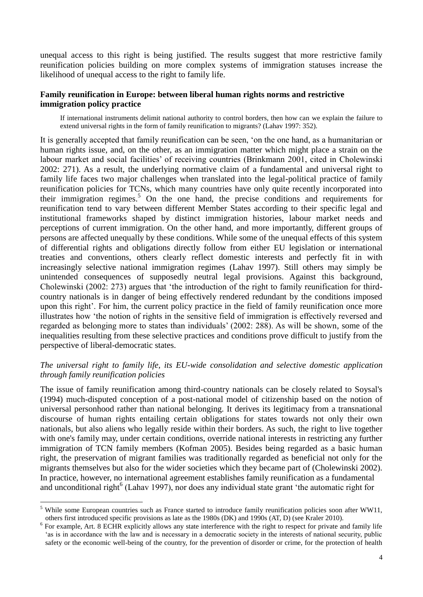unequal access to this right is being justified. The results suggest that more restrictive family reunification policies building on more complex systems of immigration statuses increase the likelihood of unequal access to the right to family life.

### **Family reunification in Europe: between liberal human rights norms and restrictive immigration policy practice**

If international instruments delimit national authority to control borders, then how can we explain the failure to extend universal rights in the form of family reunification to migrants? (Lahav 1997: 352).

It is generally accepted that family reunification can be seen, "on the one hand, as a humanitarian or human rights issue, and, on the other, as an immigration matter which might place a strain on the labour market and social facilities" of receiving countries (Brinkmann 2001, cited in Cholewinski 2002: 271). As a result, the underlying normative claim of a fundamental and universal right to family life faces two major challenges when translated into the legal-political practice of family reunification policies for TCNs, which many countries have only quite recently incorporated into their immigration regimes.<sup>5</sup> On the one hand, the precise conditions and requirements for reunification tend to vary between different Member States according to their specific legal and institutional frameworks shaped by distinct immigration histories, labour market needs and perceptions of current immigration. On the other hand, and more importantly, different groups of persons are affected unequally by these conditions. While some of the unequal effects of this system of differential rights and obligations directly follow from either EU legislation or international treaties and conventions, others clearly reflect domestic interests and perfectly fit in with increasingly selective national immigration regimes (Lahav 1997). Still others may simply be unintended consequences of supposedly neutral legal provisions. Against this background, Cholewinski (2002: 273) argues that "the introduction of the right to family reunification for thirdcountry nationals is in danger of being effectively rendered redundant by the conditions imposed upon this right'. For him, the current policy practice in the field of family reunification once more illustrates how "the notion of rights in the sensitive field of immigration is effectively reversed and regarded as belonging more to states than individuals" (2002: 288). As will be shown, some of the inequalities resulting from these selective practices and conditions prove difficult to justify from the perspective of liberal-democratic states.

# *The universal right to family life, its EU-wide consolidation and selective domestic application through family reunification policies*

The issue of family reunification among third-country nationals can be closely related to Soysal's (1994) much-disputed conception of a post-national model of citizenship based on the notion of universal personhood rather than national belonging. It derives its legitimacy from a transnational discourse of human rights entailing certain obligations for states towards not only their own nationals, but also aliens who legally reside within their borders. As such, the right to live together with one's family may, under certain conditions, override national interests in restricting any further immigration of TCN family members (Kofman 2005). Besides being regarded as a basic human right, the preservation of migrant families was traditionally regarded as beneficial not only for the migrants themselves but also for the wider societies which they became part of (Cholewinski 2002). In practice, however, no international agreement establishes family reunification as a fundamental and unconditional right<sup>6</sup> (Lahav 1997), nor does any individual state grant 'the automatic right for

<u>.</u>

<sup>&</sup>lt;sup>5</sup> While some European countries such as France started to introduce family reunification policies soon after WW11, others first introduced specific provisions as late as the 1980s (DK) and 1990s (AT, D) (see Kraler 2010).

<sup>&</sup>lt;sup>6</sup> For example, Art. 8 ECHR explicitly allows any state interference with the right to respect for private and family life 'as is in accordance with the law and is necessary in a democratic society in the interests of national security, public safety or the economic well-being of the country, for the prevention of disorder or crime, for the protection of health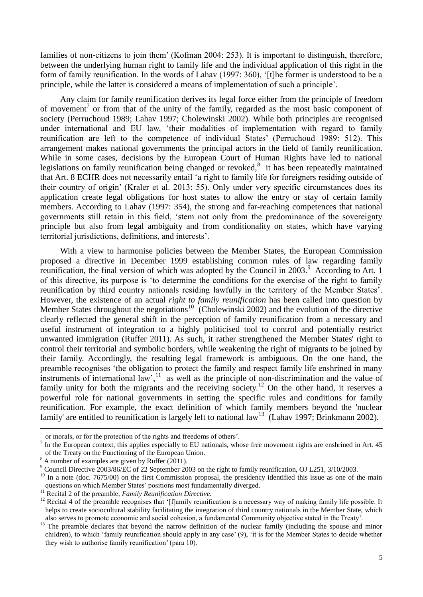families of non-citizens to join them' (Kofman 2004: 253). It is important to distinguish, therefore, between the underlying human right to family life and the individual application of this right in the form of family reunification. In the words of Lahav (1997: 360), "[t]he former is understood to be a principle, while the latter is considered a means of implementation of such a principle".

Any claim for family reunification derives its legal force either from the principle of freedom of movement<sup>7</sup> or from that of the unity of the family, regarded as the most basic component of society (Perruchoud 1989; Lahav 1997; Cholewinski 2002). While both principles are recognised under international and EU law, "their modalities of implementation with regard to family reunification are left to the competence of individual States' (Perruchoud 1989: 512). This arrangement makes national governments the principal actors in the field of family reunification. While in some cases, decisions by the European Court of Human Rights have led to national legislations on family reunification being changed or revoked, $8$  it has been repeatedly maintained that Art. 8 ECHR does not necessarily entail "a right to family life for foreigners residing outside of their country of origin" (Kraler et al. 2013: 55). Only under very specific circumstances does its application create legal obligations for host states to allow the entry or stay of certain family members. According to Lahav (1997: 354), the strong and far-reaching competences that national governments still retain in this field, "stem not only from the predominance of the sovereignty principle but also from legal ambiguity and from conditionality on states, which have varying territorial jurisdictions, definitions, and interests".

With a view to harmonise policies between the Member States, the European Commission proposed a directive in December 1999 establishing common rules of law regarding family reunification, the final version of which was adopted by the Council in 2003.<sup>9</sup> According to Art. 1 of this directive, its purpose is "to determine the conditions for the exercise of the right to family reunification by third country nationals residing lawfully in the territory of the Member States". However, the existence of an actual *right to family reunification* has been called into question by Member States throughout the negotiations<sup>10</sup> (Cholewinski 2002) and the evolution of the directive clearly reflected the general shift in the perception of family reunification from a necessary and useful instrument of integration to a highly politicised tool to control and potentially restrict unwanted immigration (Ruffer 2011). As such, it rather strengthened the Member States' right to control their territorial and symbolic borders, while weakening the right of migrants to be joined by their family. Accordingly, the resulting legal framework is ambiguous. On the one hand, the preamble recognises "the obligation to protect the family and respect family life enshrined in many instruments of international  $law$ <sup>11</sup>, as well as the principle of non-discrimination and the value of family unity for both the migrants and the receiving society.<sup>12</sup> On the other hand, it reserves a powerful role for national governments in setting the specific rules and conditions for family reunification. For example, the exact definition of which family members beyond the 'nuclear family' are entitled to reunification is largely left to national  $law^{13}$  (Lahav 1997; Brinkmann 2002).

or morals, or for the protection of the rights and freedoms of others".

 $<sup>7</sup>$  In the European context, this applies especially to EU nationals, whose free movement rights are enshrined in Art. 45</sup> of the Treaty on the Functioning of the European Union.

 $8 \times 10^{-4}$  A number of examples are given by Ruffer (2011).

<sup>9</sup> Council Directive 2003/86/EC of 22 September 2003 on the right to family reunification, OJ L251, 3/10/2003.

 $10$  In a note (doc. 7675/00) on the first Commission proposal, the presidency identified this issue as one of the main questions on which Member States' positions most fundamentally diverged.

<sup>11</sup> Recital 2 of the preamble, *Family Reunification Directive.*

<sup>&</sup>lt;sup>12</sup> Recital 4 of the preamble recognises that '[f]amily reunification is a necessary way of making family life possible. It helps to create sociocultural stability facilitating the integration of third country nationals in the Member State, which also serves to promote economic and social cohesion, a fundamental Community objective stated in the Treaty".

<sup>&</sup>lt;sup>13</sup> The preamble declares that beyond the narrow definition of the nuclear family (including the spouse and minor children), to which "family reunification should apply in any case" (9), "it is for the Member States to decide whether they wish to authorise family reunification" (para 10).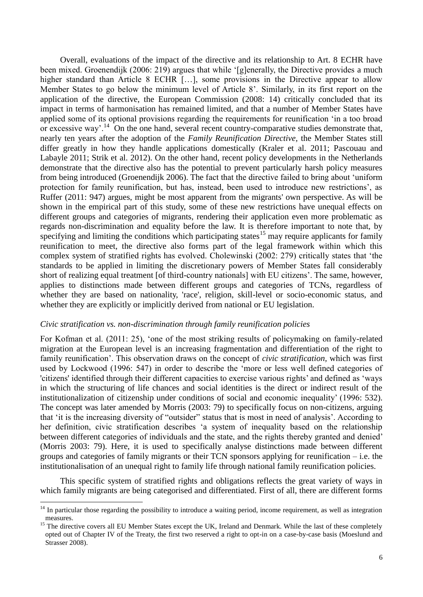Overall, evaluations of the impact of the directive and its relationship to Art. 8 ECHR have been mixed. Groenendijk (2006: 219) argues that while "[g]enerally, the Directive provides a much higher standard than Article 8 ECHR [...], some provisions in the Directive appear to allow Member States to go below the minimum level of Article 8". Similarly, in its first report on the application of the directive, the European Commission (2008: 14) critically concluded that its impact in terms of harmonisation has remained limited, and that a number of Member States have applied some of its optional provisions regarding the requirements for reunification "in a too broad or excessive way'.<sup>14</sup> On the one hand, several recent country-comparative studies demonstrate that, nearly ten years after the adoption of the *Family Reunification Directive,* the Member States still differ greatly in how they handle applications domestically (Kraler et al. 2011; Pascouau and Labayle 2011; Strik et al. 2012). On the other hand, recent policy developments in the Netherlands demonstrate that the directive also has the potential to prevent particularly harsh policy measures from being introduced (Groenendijk 2006). The fact that the directive failed to bring about "uniform protection for family reunification, but has, instead, been used to introduce new restrictions", as Ruffer (2011: 947) argues, might be most apparent from the migrants' own perspective. As will be shown in the empirical part of this study, some of these new restrictions have unequal effects on different groups and categories of migrants, rendering their application even more problematic as regards non-discrimination and equality before the law. It is therefore important to note that, by specifying and limiting the conditions which participating states<sup>15</sup> may require applicants for family reunification to meet, the directive also forms part of the legal framework within which this complex system of stratified rights has evolved. Cholewinski (2002: 279) critically states that "the standards to be applied in limiting the discretionary powers of Member States fall considerably short of realizing equal treatment [of third-country nationals] with EU citizens'. The same, however, applies to distinctions made between different groups and categories of TCNs, regardless of whether they are based on nationality, 'race', religion, skill-level or socio-economic status, and whether they are explicitly or implicitly derived from national or EU legislation.

#### *Civic stratification vs. non-discrimination through family reunification policies*

<u>.</u>

For Kofman et al. (2011: 25), "one of the most striking results of policymaking on family-related migration at the European level is an increasing fragmentation and differentiation of the right to family reunification". This observation draws on the concept of *civic stratification,* which was first used by Lockwood (1996: 547) in order to describe the "more or less well defined categories of 'citizens' identified through their different capacities to exercise various rights" and defined as "ways in which the structuring of life chances and social identities is the direct or indirect result of the institutionalization of citizenship under conditions of social and economic inequality" (1996: 532). The concept was later amended by Morris (2003: 79) to specifically focus on non-citizens, arguing that 'it is the increasing diversity of "outsider" status that is most in need of analysis'. According to her definition, civic stratification describes "a system of inequality based on the relationship between different categories of individuals and the state, and the rights thereby granted and denied' (Morris 2003: 79). Here, it is used to specifically analyse distinctions made between different groups and categories of family migrants or their TCN sponsors applying for reunification – i.e. the institutionalisation of an unequal right to family life through national family reunification policies.

This specific system of stratified rights and obligations reflects the great variety of ways in which family migrants are being categorised and differentiated. First of all, there are different forms

 $14$  In particular those regarding the possibility to introduce a waiting period, income requirement, as well as integration measures.

<sup>&</sup>lt;sup>15</sup> The directive covers all EU Member States except the UK, Ireland and Denmark. While the last of these completely opted out of Chapter IV of the Treaty, the first two reserved a right to opt-in on a case-by-case basis (Moeslund and Strasser 2008).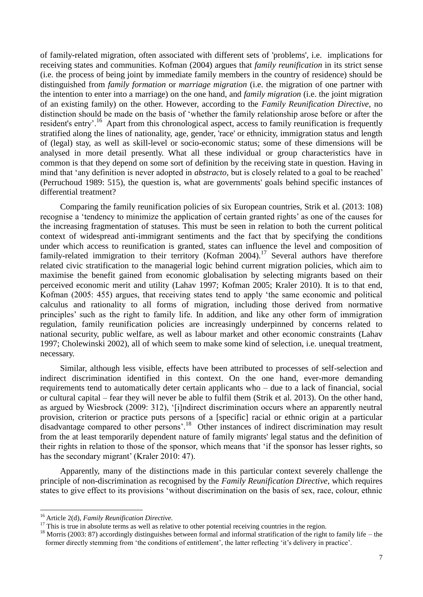of family-related migration, often associated with different sets of 'problems', i.e. implications for receiving states and communities. Kofman (2004) argues that *family reunification* in its strict sense (i.e. the process of being joint by immediate family members in the country of residence) should be distinguished from *family formation* or *marriage migration* (i.e. the migration of one partner with the intention to enter into a marriage) on the one hand, and *family migration* (i.e. the joint migration of an existing family) on the other. However, according to the *Family Reunification Directive,* no distinction should be made on the basis of "whether the family relationship arose before or after the resident's entry'.<sup>16</sup> Apart from this chronological aspect, access to family reunification is frequently stratified along the lines of nationality, age, gender, 'race' or ethnicity, immigration status and length of (legal) stay, as well as skill-level or socio-economic status; some of these dimensions will be analysed in more detail presently. What all these individual or group characteristics have in common is that they depend on some sort of definition by the receiving state in question. Having in mind that "any definition is never adopted in *abstracto,* but is closely related to a goal to be reached" (Perruchoud 1989: 515), the question is, what are governments' goals behind specific instances of differential treatment?

Comparing the family reunification policies of six European countries, Strik et al. (2013: 108) recognise a 'tendency to minimize the application of certain granted rights' as one of the causes for the increasing fragmentation of statuses. This must be seen in relation to both the current political context of widespread anti-immigrant sentiments and the fact that by specifying the conditions under which access to reunification is granted, states can influence the level and composition of family-related immigration to their territory (Kofman 2004).<sup>17</sup> Several authors have therefore related civic stratification to the managerial logic behind current migration policies, which aim to maximise the benefit gained from economic globalisation by selecting migrants based on their perceived economic merit and utility (Lahav 1997; Kofman 2005; Kraler 2010). It is to that end, Kofman (2005: 455) argues, that receiving states tend to apply "the same economic and political calculus and rationality to all forms of migration, including those derived from normative principles" such as the right to family life. In addition, and like any other form of immigration regulation, family reunification policies are increasingly underpinned by concerns related to national security, public welfare, as well as labour market and other economic constraints (Lahav 1997; Cholewinski 2002), all of which seem to make some kind of selection, i.e. unequal treatment, necessary.

Similar, although less visible, effects have been attributed to processes of self-selection and indirect discrimination identified in this context. On the one hand, ever-more demanding requirements tend to automatically deter certain applicants who – due to a lack of financial, social or cultural capital – fear they will never be able to fulfil them (Strik et al. 2013). On the other hand, as argued by Wiesbrock (2009: 312), "[i]ndirect discrimination occurs where an apparently neutral provision, criterion or practice puts persons of a [specific] racial or ethnic origin at a particular disadvantage compared to other persons'.<sup>18</sup> Other instances of indirect discrimination may result from the at least temporarily dependent nature of family migrants' legal status and the definition of their rights in relation to those of the sponsor, which means that "if the sponsor has lesser rights, so has the secondary migrant' (Kraler 2010: 47).

Apparently, many of the distinctions made in this particular context severely challenge the principle of non-discrimination as recognised by the *Family Reunification Directive,* which requires states to give effect to its provisions "without discrimination on the basis of sex, race, colour, ethnic

<sup>16</sup> Article 2(d), *Family Reunification Directive.*

<sup>&</sup>lt;sup>17</sup> This is true in absolute terms as well as relative to other potential receiving countries in the region.

<sup>&</sup>lt;sup>18</sup> Morris (2003: 87) accordingly distinguishes between formal and informal stratification of the right to family life – the former directly stemming from 'the conditions of entitlement', the latter reflecting 'it's delivery in practice'.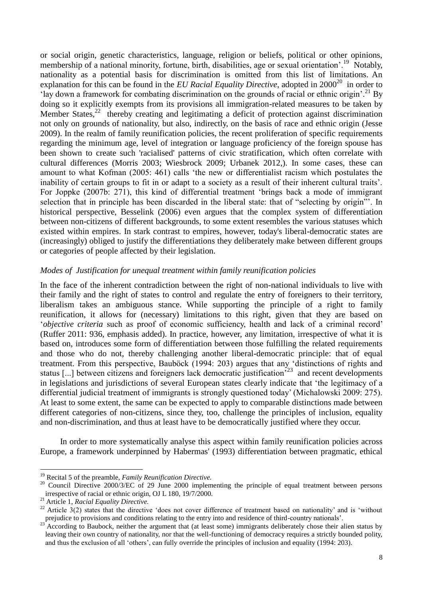or social origin, genetic characteristics, language, religion or beliefs, political or other opinions, membership of a national minority, fortune, birth, disabilities, age or sexual orientation'.<sup>19</sup> Notably, nationality as a potential basis for discrimination is omitted from this list of limitations. An explanation for this can be found in the *EU Racial Equality Directive*, adopted in  $2000^{20}$  in order to 'lay down a framework for combating discrimination on the grounds of racial or ethnic origin'.<sup>21</sup> By doing so it explicitly exempts from its provisions all immigration-related measures to be taken by Member States,<sup>22</sup> thereby creating and legitimating a deficit of protection against discrimination not only on grounds of nationality, but also, indirectly, on the basis of race and ethnic origin (Jesse 2009). In the realm of family reunification policies, the recent proliferation of specific requirements regarding the minimum age, level of integration or language proficiency of the foreign spouse has been shown to create such 'racialised' patterns of civic stratification, which often correlate with cultural differences (Morris 2003; Wiesbrock 2009; Urbanek 2012,). In some cases, these can amount to what Kofman (2005: 461) calls "the new or differentialist racism which postulates the inability of certain groups to fit in or adapt to a society as a result of their inherent cultural traits". For Joppke (2007b: 271), this kind of differential treatment "brings back a mode of immigrant selection that in principle has been discarded in the liberal state: that of "selecting by origin"". In historical perspective, Besselink (2006) even argues that the complex system of differentiation between non-citizens of different backgrounds, to some extent resembles the various statuses which existed within empires. In stark contrast to empires, however, today's liberal-democratic states are (increasingly) obliged to justify the differentiations they deliberately make between different groups or categories of people affected by their legislation.

### *Modes of Justification for unequal treatment within family reunification policies*

In the face of the inherent contradiction between the right of non-national individuals to live with their family and the right of states to control and regulate the entry of foreigners to their territory, liberalism takes an ambiguous stance. While supporting the principle of a right to family reunification, it allows for (necessary) limitations to this right, given that they are based on "*objective criteria* such as proof of economic sufficiency, health and lack of a criminal record" (Ruffer 2011: 936, emphasis added). In practice, however, any limitation, irrespective of what it is based on, introduces some form of differentiation between those fulfilling the related requirements and those who do not, thereby challenging another liberal-democratic principle: that of equal treatment. From this perspective, Bauböck (1994: 203) argues that any "distinctions of rights and status  $[...]$  between citizens and foreigners lack democratic justification<sup>523</sup> and recent developments in legislations and jurisdictions of several European states clearly indicate that "the legitimacy of a differential judicial treatment of immigrants is strongly questioned today" (Michalowski 2009: 275). At least to some extent, the same can be expected to apply to comparable distinctions made between different categories of non-citizens, since they, too, challenge the principles of inclusion, equality and non-discrimination, and thus at least have to be democratically justified where they occur.

In order to more systematically analyse this aspect within family reunification policies across Europe, a framework underpinned by Habermas' (1993) differentiation between pragmatic, ethical

<sup>19</sup> Recital 5 of the preamble, *Family Reunification Directive.*

<sup>&</sup>lt;sup>20</sup> Council Directive 2000/3/EC of 29 June 2000 implementing the principle of equal treatment between persons irrespective of racial or ethnic origin, OJ L 180, 19/7/2000.

<sup>21</sup> Article 1, *Racial Equality Directive.*

<sup>&</sup>lt;sup>22</sup> Article  $3(2)$  states that the directive 'does not cover difference of treatment based on nationality' and is 'without prejudice to provisions and conditions relating to the entry into and residence of third-country nationals".

 $^{23}$  According to Baubock, neither the argument that (at least some) immigrants deliberately chose their alien status by leaving their own country of nationality, nor that the well-functioning of democracy requires a strictly bounded polity, and thus the exclusion of all "others", can fully override the principles of inclusion and equality (1994: 203).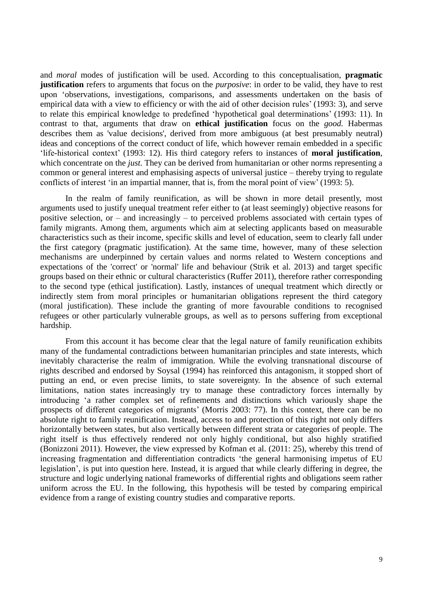and *moral* modes of justification will be used. According to this conceptualisation, **pragmatic justification** refers to arguments that focus on the *purposive*: in order to be valid, they have to rest upon "observations, investigations, comparisons, and assessments undertaken on the basis of empirical data with a view to efficiency or with the aid of other decision rules' (1993: 3), and serve to relate this empirical knowledge to predefined "hypothetical goal determinations" (1993: 11). In contrast to that, arguments that draw on **ethical justification** focus on the *good.* Habermas describes them as 'value decisions', derived from more ambiguous (at best presumably neutral) ideas and conceptions of the correct conduct of life, which however remain embedded in a specific "life-historical context" (1993: 12). His third category refers to instances of **moral justification**, which concentrate on the *just*. They can be derived from humanitarian or other norms representing a common or general interest and emphasising aspects of universal justice – thereby trying to regulate conflicts of interest 'in an impartial manner, that is, from the moral point of view' (1993: 5).

In the realm of family reunification, as will be shown in more detail presently, most arguments used to justify unequal treatment refer either to (at least seemingly) objective reasons for positive selection, or – and increasingly – to perceived problems associated with certain types of family migrants. Among them, arguments which aim at selecting applicants based on measurable characteristics such as their income, specific skills and level of education, seem to clearly fall under the first category (pragmatic justification). At the same time, however, many of these selection mechanisms are underpinned by certain values and norms related to Western conceptions and expectations of the 'correct' or 'normal' life and behaviour (Strik et al. 2013) and target specific groups based on their ethnic or cultural characteristics (Ruffer 2011), therefore rather corresponding to the second type (ethical justification). Lastly, instances of unequal treatment which directly or indirectly stem from moral principles or humanitarian obligations represent the third category (moral justification). These include the granting of more favourable conditions to recognised refugees or other particularly vulnerable groups, as well as to persons suffering from exceptional hardship.

From this account it has become clear that the legal nature of family reunification exhibits many of the fundamental contradictions between humanitarian principles and state interests, which inevitably characterise the realm of immigration. While the evolving transnational discourse of rights described and endorsed by Soysal (1994) has reinforced this antagonism, it stopped short of putting an end, or even precise limits, to state sovereignty. In the absence of such external limitations, nation states increasingly try to manage these contradictory forces internally by introducing "a rather complex set of refinements and distinctions which variously shape the prospects of different categories of migrants" (Morris 2003: 77). In this context, there can be no absolute right to family reunification. Instead, access to and protection of this right not only differs horizontally between states, but also vertically between different strata or categories of people. The right itself is thus effectively rendered not only highly conditional, but also highly stratified (Bonizzoni 2011). However, the view expressed by Kofman et al. (2011: 25), whereby this trend of increasing fragmentation and differentiation contradicts "the general harmonising impetus of EU legislation", is put into question here. Instead, it is argued that while clearly differing in degree, the structure and logic underlying national frameworks of differential rights and obligations seem rather uniform across the EU. In the following, this hypothesis will be tested by comparing empirical evidence from a range of existing country studies and comparative reports.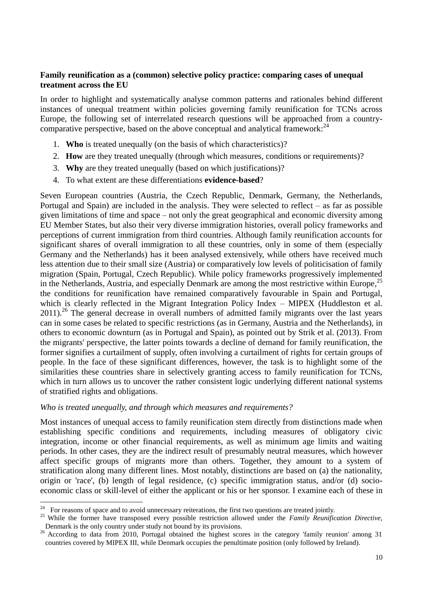# **Family reunification as a (common) selective policy practice: comparing cases of unequal treatment across the EU**

In order to highlight and systematically analyse common patterns and rationales behind different instances of unequal treatment within policies governing family reunification for TCNs across Europe, the following set of interrelated research questions will be approached from a countrycomparative perspective, based on the above conceptual and analytical framework:<sup>24</sup>

- 1. **Who** is treated unequally (on the basis of which characteristics)?
- 2. **How** are they treated unequally (through which measures, conditions or requirements)?
- 3. **Why** are they treated unequally (based on which justifications)?
- 4. To what extent are these differentiations **evidence-based**?

Seven European countries (Austria, the Czech Republic, Denmark, Germany, the Netherlands, Portugal and Spain) are included in the analysis. They were selected to reflect – as far as possible given limitations of time and space – not only the great geographical and economic diversity among EU Member States, but also their very diverse immigration histories, overall policy frameworks and perceptions of current immigration from third countries. Although family reunification accounts for significant shares of overall immigration to all these countries, only in some of them (especially Germany and the Netherlands) has it been analysed extensively, while others have received much less attention due to their small size (Austria) or comparatively low levels of politicisation of family migration (Spain, Portugal, Czech Republic). While policy frameworks progressively implemented in the Netherlands, Austria, and especially Denmark are among the most restrictive within Europe,<sup>25</sup> the conditions for reunification have remained comparatively favourable in Spain and Portugal, which is clearly reflected in the Migrant Integration Policy Index – MIPEX (Huddleston et al. 2011).<sup>26</sup> The general decrease in overall numbers of admitted family migrants over the last years can in some cases be related to specific restrictions (as in Germany, Austria and the Netherlands), in others to economic downturn (as in Portugal and Spain), as pointed out by Strik et al. (2013). From the migrants' perspective, the latter points towards a decline of demand for family reunification, the former signifies a curtailment of supply, often involving a curtailment of rights for certain groups of people. In the face of these significant differences, however, the task is to highlight some of the similarities these countries share in selectively granting access to family reunification for TCNs, which in turn allows us to uncover the rather consistent logic underlying different national systems of stratified rights and obligations.

### *Who is treated unequally, and through which measures and requirements?*

Most instances of unequal access to family reunification stem directly from distinctions made when establishing specific conditions and requirements, including measures of obligatory civic integration, income or other financial requirements, as well as minimum age limits and waiting periods. In other cases, they are the indirect result of presumably neutral measures, which however affect specific groups of migrants more than others. Together, they amount to a system of stratification along many different lines. Most notably, distinctions are based on (a) the nationality, origin or 'race', (b) length of legal residence, (c) specific immigration status, and/or (d) socioeconomic class or skill-level of either the applicant or his or her sponsor. I examine each of these in

<sup>24</sup> <sup>24</sup> For reasons of space and to avoid unnecessary reiterations, the first two questions are treated jointly.

<sup>25</sup> While the former have transposed every possible restriction allowed under the *Family Reunification Directive*, Denmark is the only country under study not bound by its provisions.

<sup>&</sup>lt;sup>26</sup> According to data from 2010, Portugal obtained the highest scores in the category 'family reunion' among 31 countries covered by MIPEX III, while Denmark occupies the penultimate position (only followed by Ireland).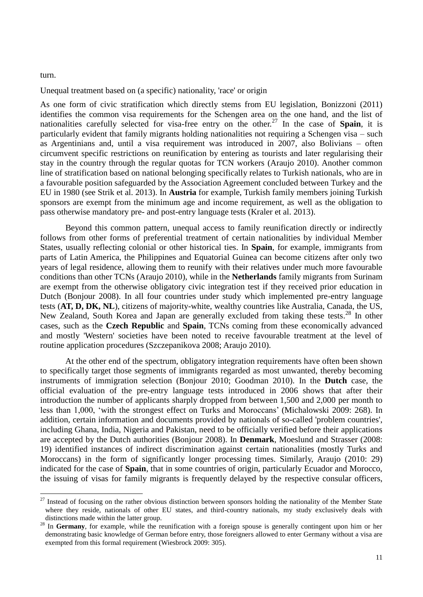turn.

<u>.</u>

Unequal treatment based on (a specific) nationality, 'race' or origin

As one form of civic stratification which directly stems from EU legislation, Bonizzoni (2011) identifies the common visa requirements for the Schengen area on the one hand, and the list of nationalities carefully selected for visa-free entry on the other.<sup>27</sup> In the case of **Spain**, it is particularly evident that family migrants holding nationalities not requiring a Schengen visa – such as Argentinians and, until a visa requirement was introduced in 2007, also Bolivians – often circumvent specific restrictions on reunification by entering as tourists and later regularising their stay in the country through the regular quotas for TCN workers (Araujo 2010). Another common line of stratification based on national belonging specifically relates to Turkish nationals, who are in a favourable position safeguarded by the Association Agreement concluded between Turkey and the EU in 1980 (see Strik et al. 2013). In **Austria** for example, Turkish family members joining Turkish sponsors are exempt from the minimum age and income requirement, as well as the obligation to pass otherwise mandatory pre- and post-entry language tests (Kraler et al. 2013).

Beyond this common pattern, unequal access to family reunification directly or indirectly follows from other forms of preferential treatment of certain nationalities by individual Member States, usually reflecting colonial or other historical ties. In **Spain**, for example, immigrants from parts of Latin America, the Philippines and Equatorial Guinea can become citizens after only two years of legal residence, allowing them to reunify with their relatives under much more favourable conditions than other TCNs (Araujo 2010), while in the **Netherlands** family migrants from Surinam are exempt from the otherwise obligatory civic integration test if they received prior education in Dutch (Bonjour 2008). In all four countries under study which implemented pre-entry language tests (**AT, D, DK, NL**), citizens of majority-white, wealthy countries like Australia, Canada, the US, New Zealand, South Korea and Japan are generally excluded from taking these tests.<sup>28</sup> In other cases, such as the **Czech Republic** and **Spain**, TCNs coming from these economically advanced and mostly 'Western' societies have been noted to receive favourable treatment at the level of routine application procedures (Szczepanikova 2008; Araujo 2010).

At the other end of the spectrum, obligatory integration requirements have often been shown to specifically target those segments of immigrants regarded as most unwanted, thereby becoming instruments of immigration selection (Bonjour 2010; Goodman 2010). In the **Dutch** case, the official evaluation of the pre-entry language tests introduced in 2006 shows that after their introduction the number of applicants sharply dropped from between 1,500 and 2,000 per month to less than 1,000, "with the strongest effect on Turks and Moroccans" (Michalowski 2009: 268). In addition, certain information and documents provided by nationals of so-called 'problem countries', including Ghana, India, Nigeria and Pakistan, need to be officially verified before their applications are accepted by the Dutch authorities (Bonjour 2008). In **Denmark**, Moeslund and Strasser (2008: 19) identified instances of indirect discrimination against certain nationalities (mostly Turks and Moroccans) in the form of significantly longer processing times. Similarly, Araujo (2010: 29) indicated for the case of **Spain**, that in some countries of origin, particularly Ecuador and Morocco, the issuing of visas for family migrants is frequently delayed by the respective consular officers,

 $27$  Instead of focusing on the rather obvious distinction between sponsors holding the nationality of the Member State where they reside, nationals of other EU states, and third-country nationals, my study exclusively deals with distinctions made within the latter group.

<sup>&</sup>lt;sup>28</sup> In Germany, for example, while the reunification with a foreign spouse is generally contingent upon him or her demonstrating basic knowledge of German before entry, those foreigners allowed to enter Germany without a visa are exempted from this formal requirement (Wiesbrock 2009: 305).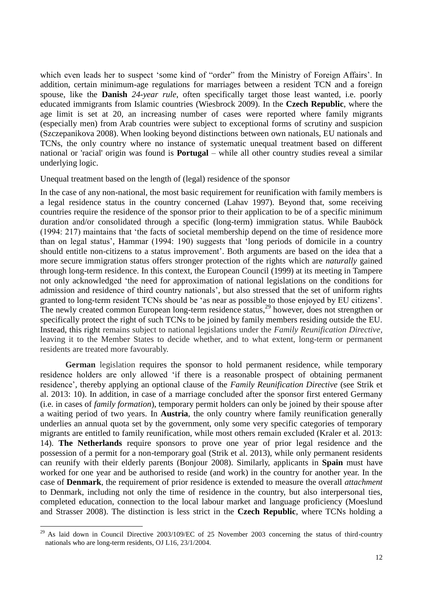which even leads her to suspect 'some kind of "order" from the Ministry of Foreign Affairs'. In addition, certain minimum-age regulations for marriages between a resident TCN and a foreign spouse, like the **Danish** *24-year rule*, often specifically target those least wanted, i.e. poorly educated immigrants from Islamic countries (Wiesbrock 2009). In the **Czech Republic**, where the age limit is set at 20, an increasing number of cases were reported where family migrants (especially men) from Arab countries were subject to exceptional forms of scrutiny and suspicion (Szczepanikova 2008). When looking beyond distinctions between own nationals, EU nationals and TCNs, the only country where no instance of systematic unequal treatment based on different national or 'racial' origin was found is **Portugal** – while all other country studies reveal a similar underlying logic.

#### Unequal treatment based on the length of (legal) residence of the sponsor

In the case of any non-national, the most basic requirement for reunification with family members is a legal residence status in the country concerned (Lahav 1997). Beyond that, some receiving countries require the residence of the sponsor prior to their application to be of a specific minimum duration and/or consolidated through a specific (long-term) immigration status. While Bauböck (1994: 217) maintains that "the facts of societal membership depend on the time of residence more than on legal status', Hammar (1994: 190) suggests that 'long periods of domicile in a country should entitle non-citizens to a status improvement'. Both arguments are based on the idea that a more secure immigration status offers stronger protection of the rights which are *naturally* gained through long-term residence. In this context, the European Council (1999) at its meeting in Tampere not only acknowledged "the need for approximation of national legislations on the conditions for admission and residence of third country nationals", but also stressed that the set of uniform rights granted to long-term resident TCNs should be "as near as possible to those enjoyed by EU citizens". The newly created common European long-term residence status,<sup>29</sup> however, does not strengthen or specifically protect the right of such TCNs to be joined by family members residing outside the EU. Instead, this right remains subject to national legislations under the *Family Reunification Directive*, leaving it to the Member States to decide whether, and to what extent, long-term or permanent residents are treated more favourably.

**German** legislation requires the sponsor to hold permanent residence, while temporary residence holders are only allowed "if there is a reasonable prospect of obtaining permanent residence", thereby applying an optional clause of the *Family Reunification Directive* (see Strik et al. 2013: 10). In addition, in case of a marriage concluded after the sponsor first entered Germany (i.e. in cases of *family formation*), temporary permit holders can only be joined by their spouse after a waiting period of two years. In **Austria**, the only country where family reunification generally underlies an annual quota set by the government, only some very specific categories of temporary migrants are entitled to family reunification, while most others remain excluded (Kraler et al. 2013: 14). **The Netherlands** require sponsors to prove one year of prior legal residence and the possession of a permit for a non-temporary goal (Strik et al. 2013), while only permanent residents can reunify with their elderly parents (Bonjour 2008). Similarly, applicants in **Spain** must have worked for one year and be authorised to reside (and work) in the country for another year. In the case of **Denmark**, the requirement of prior residence is extended to measure the overall *attachment* to Denmark, including not only the time of residence in the country, but also interpersonal ties, completed education, connection to the local labour market and language proficiency (Moeslund and Strasser 2008). The distinction is less strict in the **Czech Republic**, where TCNs holding a

<sup>&</sup>lt;sup>29</sup> As laid down in Council Directive 2003/109/EC of 25 November 2003 concerning the status of third-country nationals who are long-term residents, OJ L16, 23/1/2004.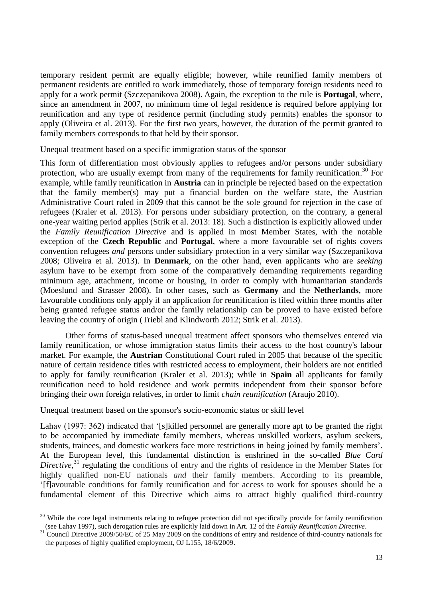temporary resident permit are equally eligible; however, while reunified family members of permanent residents are entitled to work immediately, those of temporary foreign residents need to apply for a work permit (Szczepanikova 2008). Again, the exception to the rule is **Portugal**, where, since an amendment in 2007, no minimum time of legal residence is required before applying for reunification and any type of residence permit (including study permits) enables the sponsor to apply (Oliveira et al. 2013). For the first two years, however, the duration of the permit granted to family members corresponds to that held by their sponsor.

Unequal treatment based on a specific immigration status of the sponsor

This form of differentiation most obviously applies to refugees and/or persons under subsidiary protection, who are usually exempt from many of the requirements for family reunification.<sup>30</sup> For example, while family reunification in **Austria** can in principle be rejected based on the expectation that the family member(s) may put a financial burden on the welfare state, the Austrian Administrative Court ruled in 2009 that this cannot be the sole ground for rejection in the case of refugees (Kraler et al. 2013). For persons under subsidiary protection, on the contrary, a general one-year waiting period applies (Strik et al. 2013: 18). Such a distinction is explicitly allowed under the *Family Reunification Directive* and is applied in most Member States, with the notable exception of the **Czech Republic** and **Portugal**, where a more favourable set of rights covers convention refugees *and* persons under subsidiary protection in a very similar way (Szczepanikova 2008; Oliveira et al. 2013). In **Denmark**, on the other hand, even applicants who are *seeking* asylum have to be exempt from some of the comparatively demanding requirements regarding minimum age, attachment, income or housing, in order to comply with humanitarian standards (Moeslund and Strasser 2008). In other cases, such as **Germany** and the **Netherlands**, more favourable conditions only apply if an application for reunification is filed within three months after being granted refugee status and/or the family relationship can be proved to have existed before leaving the country of origin (Triebl and Klindworth 2012; Strik et al. 2013).

Other forms of status-based unequal treatment affect sponsors who themselves entered via family reunification, or whose immigration status limits their access to the host country's labour market. For example, the **Austrian** Constitutional Court ruled in 2005 that because of the specific nature of certain residence titles with restricted access to employment, their holders are not entitled to apply for family reunification (Kraler et al. 2013); while in **Spain** all applicants for family reunification need to hold residence and work permits independent from their sponsor before bringing their own foreign relatives, in order to limit *chain reunification* (Araujo 2010).

Unequal treatment based on the sponsor's socio-economic status or skill level

1

Lahav (1997: 362) indicated that "[s]killed personnel are generally more apt to be granted the right to be accompanied by immediate family members, whereas unskilled workers, asylum seekers, students, trainees, and domestic workers face more restrictions in being joined by family members". At the European level, this fundamental distinction is enshrined in the so-called *Blue Card*  Directive,<sup>31</sup> regulating the conditions of entry and the rights of residence in the Member States for highly qualified non-EU nationals *and* their family members. According to its preamble, "[f]avourable conditions for family reunification and for access to work for spouses should be a fundamental element of this Directive which aims to attract highly qualified third-country

 $30$  While the core legal instruments relating to refugee protection did not specifically provide for family reunification (see Lahav 1997), such derogation rules are explicitly laid down in Art. 12 of the *Family Reunification Directive*.

 $31$  Council Directive 2009/50/EC of 25 May 2009 on the conditions of entry and residence of third-country nationals for the purposes of highly qualified employment, OJ L155, 18/6/2009.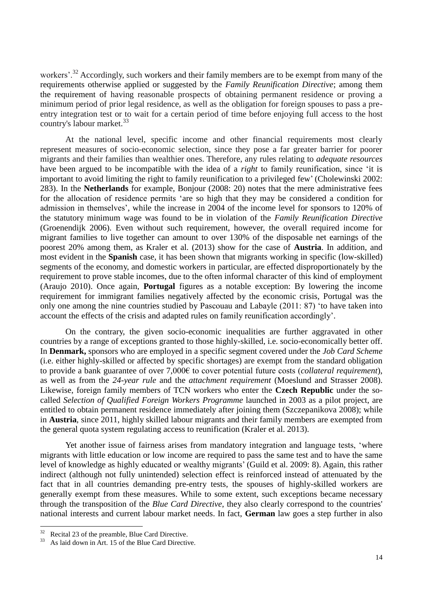workers'.<sup>32</sup> Accordingly, such workers and their family members are to be exempt from many of the requirements otherwise applied or suggested by the *Family Reunification Directive*; among them the requirement of having reasonable prospects of obtaining permanent residence or proving a minimum period of prior legal residence, as well as the obligation for foreign spouses to pass a preentry integration test or to wait for a certain period of time before enjoying full access to the host country's labour market. 33

At the national level, specific income and other financial requirements most clearly represent measures of socio-economic selection, since they pose a far greater barrier for poorer migrants and their families than wealthier ones. Therefore, any rules relating to *adequate resources* have been argued to be incompatible with the idea of a *right* to family reunification, since "it is important to avoid limiting the right to family reunification to a privileged few" (Cholewinski 2002: 283). In the **Netherlands** for example, Bonjour (2008: 20) notes that the mere administrative fees for the allocation of residence permits "are so high that they may be considered a condition for admission in themselves", while the increase in 2004 of the income level for sponsors to 120% of the statutory minimum wage was found to be in violation of the *Family Reunification Directive* (Groenendijk 2006). Even without such requirement, however, the overall required income for migrant families to live together can amount to over 130% of the disposable net earnings of the poorest 20% among them, as Kraler et al. (2013) show for the case of **Austria**. In addition, and most evident in the **Spanish** case, it has been shown that migrants working in specific (low-skilled) segments of the economy, and domestic workers in particular, are effected disproportionately by the requirement to prove stable incomes, due to the often informal character of this kind of employment (Araujo 2010). Once again, **Portugal** figures as a notable exception: By lowering the income requirement for immigrant families negatively affected by the economic crisis, Portugal was the only one among the nine countries studied by Pascouau and Labayle (2011: 87) "to have taken into account the effects of the crisis and adapted rules on family reunification accordingly".

On the contrary, the given socio-economic inequalities are further aggravated in other countries by a range of exceptions granted to those highly-skilled, i.e. socio-economically better off. In **Denmark,** sponsors who are employed in a specific segment covered under the *Job Card Scheme* (i.e. either highly-skilled or affected by specific shortages) are exempt from the standard obligation to provide a bank guarantee of over 7,000€ to cover potential future costs (*collateral requirement*), as well as from the *24-year rule* and the *attachment requirement* (Moeslund and Strasser 2008). Likewise, foreign family members of TCN workers who enter the **Czech Republic** under the socalled *Selection of Qualified Foreign Workers Programme* launched in 2003 as a pilot project, are entitled to obtain permanent residence immediately after joining them (Szczepanikova 2008); while in **Austria**, since 2011, highly skilled labour migrants and their family members are exempted from the general quota system regulating access to reunification (Kraler et al. 2013).

Yet another issue of fairness arises from mandatory integration and language tests, "where migrants with little education or low income are required to pass the same test and to have the same level of knowledge as highly educated or wealthy migrants' (Guild et al. 2009: 8). Again, this rather indirect (although not fully unintended) selection effect is reinforced instead of attenuated by the fact that in all countries demanding pre-entry tests, the spouses of highly-skilled workers are generally exempt from these measures. While to some extent, such exceptions became necessary through the transposition of the *Blue Card Directive*, they also clearly correspond to the countries' national interests and current labour market needs. In fact, **German** law goes a step further in also

 $\frac{32}{33}$  Recital 23 of the preamble, Blue Card Directive.

As laid down in Art. 15 of the Blue Card Directive.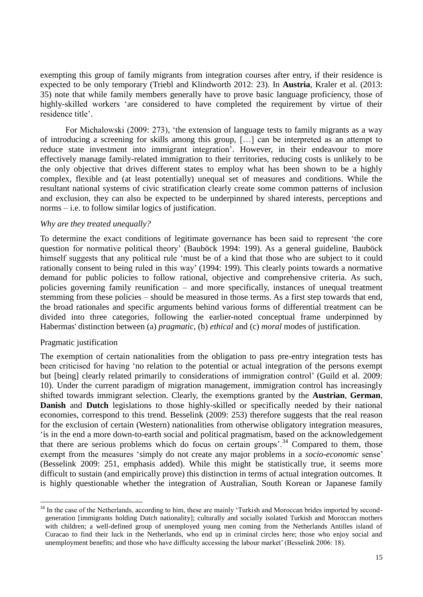exempting this group of family migrants from integration courses after entry, if their residence is expected to be only temporary (Triebl and Klindworth 2012: 23). In **Austria**, Kraler et al. (2013: 35) note that while family members generally have to prove basic language proficiency, those of highly-skilled workers "are considered to have completed the requirement by virtue of their residence title'.

For Michalowski (2009: 273), "the extension of language tests to family migrants as a way of introducing a screening for skills among this group, […] can be interpreted as an attempt to reduce state investment into immigrant integration". However, in their endeavour to more effectively manage family-related immigration to their territories, reducing costs is unlikely to be the only objective that drives different states to employ what has been shown to be a highly complex, flexible and (at least potentially) unequal set of measures and conditions. While the resultant national systems of civic stratification clearly create some common patterns of inclusion and exclusion, they can also be expected to be underpinned by shared interests, perceptions and norms – i.e. to follow similar logics of justification.

# *Why are they treated unequally?*

To determine the exact conditions of legitimate governance has been said to represent "the core question for normative political theory" (Bauböck 1994: 199). As a general guideline, Bauböck himself suggests that any political rule "must be of a kind that those who are subject to it could rationally consent to being ruled in this way' (1994: 199). This clearly points towards a normative demand for public policies to follow rational, objective and comprehensive criteria. As such, policies governing family reunification – and more specifically, instances of unequal treatment stemming from these policies – should be measured in those terms. As a first step towards that end, the broad rationales and specific arguments behind various forms of differential treatment can be divided into three categories, following the earlier-noted conceptual frame underpinned by Habermas' distinction between (a) *pragmatic*, (b) *ethical* and (c) *moral* modes of justification.

### Pragmatic justification

<u>.</u>

The exemption of certain nationalities from the obligation to pass pre-entry integration tests has been criticised for having "no relation to the potential or actual integration of the persons exempt but [being] clearly related primarily to considerations of immigration control' (Guild et al. 2009: 10). Under the current paradigm of migration management, immigration control has increasingly shifted towards immigrant selection. Clearly, the exemptions granted by the **Austrian**, **German**, **Danish** and **Dutch** legislations to those highly-skilled or specifically needed by their national economies, correspond to this trend. Besselink (2009: 253) therefore suggests that the real reason for the exclusion of certain (Western) nationalities from otherwise obligatory integration measures, "is in the end a more down-to-earth social and political pragmatism, based on the acknowledgement that there are serious problems which do focus on certain groups'.<sup>34</sup> Compared to them, those exempt from the measures 'simply do not create any major problems in a *socio-economic* sense' (Besselink 2009: 251, emphasis added). While this might be statistically true, it seems more difficult to sustain (and empirically prove) this distinction in terms of actual integration outcomes. It is highly questionable whether the integration of Australian, South Korean or Japanese family

<sup>&</sup>lt;sup>34</sup> In the case of the Netherlands, according to him, these are mainly 'Turkish and Moroccan brides imported by secondgeneration [immigrants holding Dutch nationality]; culturally and socially isolated Turkish and Moroccan mothers with children; a well-defined group of unemployed young men coming from the Netherlands Antilles island of Curacao to find their luck in the Netherlands, who end up in criminal circles here; those who enjoy social and unemployment benefits; and those who have difficulty accessing the labour market' (Besselink 2006: 18).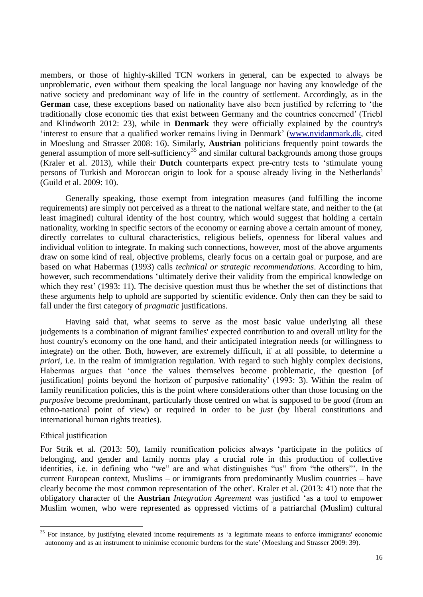members, or those of highly-skilled TCN workers in general, can be expected to always be unproblematic, even without them speaking the local language nor having any knowledge of the native society and predominant way of life in the country of settlement. Accordingly, as in the **German** case, these exceptions based on nationality have also been justified by referring to "the traditionally close economic ties that exist between Germany and the countries concerned" (Triebl and Klindworth 2012: 23), while in **Denmark** they were officially explained by the country's "interest to ensure that a qualified worker remains living in Denmark" [\(www.nyidanmark.dk,](http://www.nyidanmark.dk/) cited in Moeslung and Strasser 2008: 16). Similarly, **Austrian** politicians frequently point towards the general assumption of more self-sufficiency<sup>35</sup> and similar cultural backgrounds among those groups (Kraler et al. 2013), while their **Dutch** counterparts expect pre-entry tests to "stimulate young persons of Turkish and Moroccan origin to look for a spouse already living in the Netherlands" (Guild et al. 2009: 10).

Generally speaking, those exempt from integration measures (and fulfilling the income requirements) are simply not perceived as a threat to the national welfare state, and neither to the (at least imagined) cultural identity of the host country, which would suggest that holding a certain nationality, working in specific sectors of the economy or earning above a certain amount of money, directly correlates to cultural characteristics, religious beliefs, openness for liberal values and individual volition to integrate. In making such connections, however, most of the above arguments draw on some kind of real, objective problems, clearly focus on a certain goal or purpose, and are based on what Habermas (1993) calls *technical or strategic recommendations*. According to him, however, such recommendations "ultimately derive their validity from the empirical knowledge on which they rest' (1993: 11). The decisive question must thus be whether the set of distinctions that these arguments help to uphold are supported by scientific evidence. Only then can they be said to fall under the first category of *pragmatic* justifications.

Having said that, what seems to serve as the most basic value underlying all these judgements is a combination of migrant families' expected contribution to and overall utility for the host country's economy on the one hand, and their anticipated integration needs (or willingness to integrate) on the other. Both, however, are extremely difficult, if at all possible, to determine *a priori*, i.e. in the realm of immigration regulation. With regard to such highly complex decisions, Habermas argues that "once the values themselves become problematic, the question [of justification] points beyond the horizon of purposive rationality' (1993: 3). Within the realm of family reunification policies, this is the point where considerations other than those focusing on the *purposive* become predominant, particularly those centred on what is supposed to be *good* (from an ethno-national point of view) or required in order to be *just* (by liberal constitutions and international human rights treaties).

#### Ethical justification

1

For Strik et al. (2013: 50), family reunification policies always "participate in the politics of belonging, and gender and family norms play a crucial role in this production of collective identities, i.e. in defining who "we" are and what distinguishes "us" from "the others"". In the current European context, Muslims – or immigrants from predominantly Muslim countries – have clearly become the most common representation of 'the other'. Kraler et al. (2013: 41) note that the obligatory character of the **Austrian** *Integration Agreement* was justified "as a tool to empower Muslim women, who were represented as oppressed victims of a patriarchal (Muslim) cultural

<sup>&</sup>lt;sup>35</sup> For instance, by justifying elevated income requirements as 'a legitimate means to enforce immigrants' economic autonomy and as an instrument to minimise economic burdens for the state" (Moeslung and Strasser 2009: 39).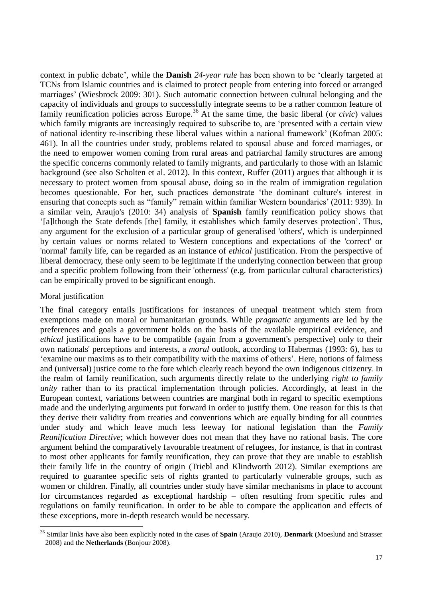context in public debate", while the **Danish** *24-year rule* has been shown to be "clearly targeted at TCNs from Islamic countries and is claimed to protect people from entering into forced or arranged marriages" (Wiesbrock 2009: 301). Such automatic connection between cultural belonging and the capacity of individuals and groups to successfully integrate seems to be a rather common feature of family reunification policies across Europe. <sup>36</sup> At the same time, the basic liberal (or *civic*) values which family migrants are increasingly required to subscribe to, are 'presented with a certain view of national identity re-inscribing these liberal values within a national framework" (Kofman 2005: 461). In all the countries under study, problems related to spousal abuse and forced marriages, or the need to empower women coming from rural areas and patriarchal family structures are among the specific concerns commonly related to family migrants, and particularly to those with an Islamic background (see also Scholten et al. 2012). In this context, Ruffer (2011) argues that although it is necessary to protect women from spousal abuse, doing so in the realm of immigration regulation becomes questionable. For her, such practices demonstrate "the dominant culture's interest in ensuring that concepts such as "family" remain within familiar Western boundaries' (2011: 939). In a similar vein, Araujo's (2010: 34) analysis of **Spanish** family reunification policy shows that "[a]lthough the State defends [the] family, it establishes which family deserves protection". Thus, any argument for the exclusion of a particular group of generalised 'others', which is underpinned by certain values or norms related to Western conceptions and expectations of the 'correct' or 'normal' family life, can be regarded as an instance of *ethical* justification. From the perspective of liberal democracy, these only seem to be legitimate if the underlying connection between that group and a specific problem following from their 'otherness' (e.g. from particular cultural characteristics) can be empirically proved to be significant enough.

### Moral justification

1

The final category entails justifications for instances of unequal treatment which stem from exemptions made on moral or humanitarian grounds. While *pragmatic* arguments are led by the preferences and goals a government holds on the basis of the available empirical evidence, and *ethical* justifications have to be compatible (again from a government's perspective) only to their own nationals' perceptions and interests, a *moral* outlook, according to Habermas (1993: 6), has to "examine our maxims as to their compatibility with the maxims of others". Here, notions of fairness and (universal) justice come to the fore which clearly reach beyond the own indigenous citizenry. In the realm of family reunification, such arguments directly relate to the underlying *right to family unity* rather than to its practical implementation through policies. Accordingly, at least in the European context, variations between countries are marginal both in regard to specific exemptions made and the underlying arguments put forward in order to justify them. One reason for this is that they derive their validity from treaties and conventions which are equally binding for all countries under study and which leave much less leeway for national legislation than the *Family Reunification Directive*; which however does not mean that they have no rational basis. The core argument behind the comparatively favourable treatment of refugees, for instance, is that in contrast to most other applicants for family reunification, they can prove that they are unable to establish their family life in the country of origin (Triebl and Klindworth 2012). Similar exemptions are required to guarantee specific sets of rights granted to particularly vulnerable groups, such as women or children. Finally, all countries under study have similar mechanisms in place to account for circumstances regarded as exceptional hardship – often resulting from specific rules and regulations on family reunification. In order to be able to compare the application and effects of these exceptions, more in-depth research would be necessary.

<sup>36</sup> Similar links have also been explicitly noted in the cases of **Spain** (Araujo 2010), **Denmark** (Moeslund and Strasser 2008) and the **Netherlands** (Bonjour 2008).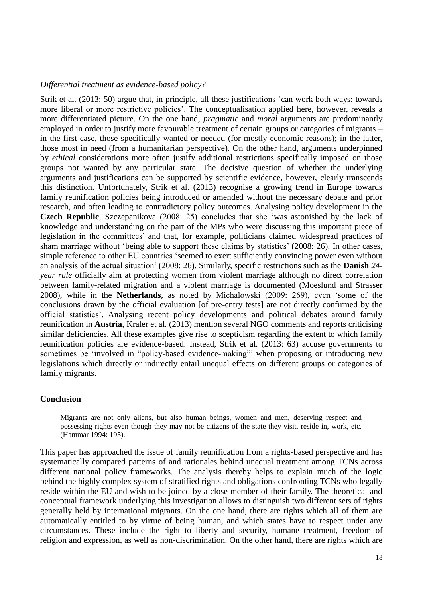### *Differential treatment as evidence-based policy?*

Strik et al. (2013: 50) argue that, in principle, all these justifications "can work both ways: towards more liberal or more restrictive policies'. The conceptualisation applied here, however, reveals a more differentiated picture. On the one hand, *pragmatic* and *moral* arguments are predominantly employed in order to justify more favourable treatment of certain groups or categories of migrants – in the first case, those specifically wanted or needed (for mostly economic reasons); in the latter, those most in need (from a humanitarian perspective). On the other hand, arguments underpinned by *ethical* considerations more often justify additional restrictions specifically imposed on those groups not wanted by any particular state. The decisive question of whether the underlying arguments and justifications can be supported by scientific evidence, however, clearly transcends this distinction. Unfortunately, Strik et al. (2013) recognise a growing trend in Europe towards family reunification policies being introduced or amended without the necessary debate and prior research, and often leading to contradictory policy outcomes. Analysing policy development in the **Czech Republic**, Szczepanikova (2008: 25) concludes that she "was astonished by the lack of knowledge and understanding on the part of the MPs who were discussing this important piece of legislation in the committees" and that, for example, politicians claimed widespread practices of sham marriage without 'being able to support these claims by statistics' (2008: 26). In other cases, simple reference to other EU countries "seemed to exert sufficiently convincing power even without an analysis of the actual situation" (2008: 26). Similarly, specific restrictions such as the **Danish** *24 year rule* officially aim at protecting women from violent marriage although no direct correlation between family-related migration and a violent marriage is documented (Moeslund and Strasser 2008), while in the **Netherlands**, as noted by Michalowski (2009: 269), even "some of the conclusions drawn by the official evaluation [of pre-entry tests] are not directly confirmed by the official statistics". Analysing recent policy developments and political debates around family reunification in **Austria**, Kraler et al. (2013) mention several NGO comments and reports criticising similar deficiencies. All these examples give rise to scepticism regarding the extent to which family reunification policies are evidence-based. Instead, Strik et al. (2013: 63) accuse governments to sometimes be "involved in "policy-based evidence-making"" when proposing or introducing new legislations which directly or indirectly entail unequal effects on different groups or categories of family migrants.

#### **Conclusion**

Migrants are not only aliens, but also human beings, women and men, deserving respect and possessing rights even though they may not be citizens of the state they visit, reside in, work, etc. (Hammar 1994: 195).

This paper has approached the issue of family reunification from a rights-based perspective and has systematically compared patterns of and rationales behind unequal treatment among TCNs across different national policy frameworks. The analysis thereby helps to explain much of the logic behind the highly complex system of stratified rights and obligations confronting TCNs who legally reside within the EU and wish to be joined by a close member of their family. The theoretical and conceptual framework underlying this investigation allows to distinguish two different sets of rights generally held by international migrants. On the one hand, there are rights which all of them are automatically entitled to by virtue of being human, and which states have to respect under any circumstances. These include the right to liberty and security, humane treatment, freedom of religion and expression, as well as non-discrimination. On the other hand, there are rights which are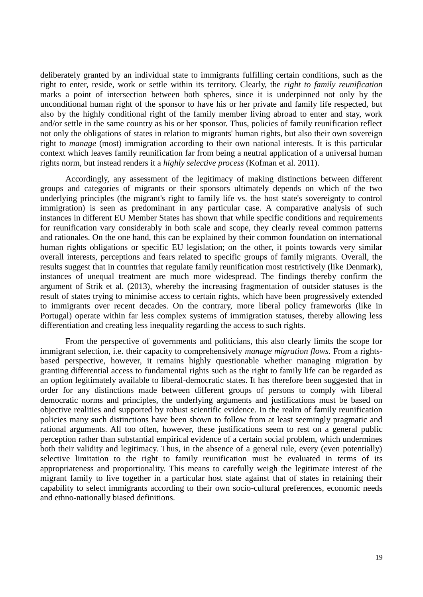deliberately granted by an individual state to immigrants fulfilling certain conditions, such as the right to enter, reside, work or settle within its territory. Clearly, the *right to family reunification* marks a point of intersection between both spheres, since it is underpinned not only by the unconditional human right of the sponsor to have his or her private and family life respected, but also by the highly conditional right of the family member living abroad to enter and stay, work and/or settle in the same country as his or her sponsor. Thus, policies of family reunification reflect not only the obligations of states in relation to migrants' human rights, but also their own sovereign right to *manage* (most) immigration according to their own national interests. It is this particular context which leaves family reunification far from being a neutral application of a universal human rights norm, but instead renders it a *highly selective process* (Kofman et al. 2011).

Accordingly, any assessment of the legitimacy of making distinctions between different groups and categories of migrants or their sponsors ultimately depends on which of the two underlying principles (the migrant's right to family life vs. the host state's sovereignty to control immigration) is seen as predominant in any particular case. A comparative analysis of such instances in different EU Member States has shown that while specific conditions and requirements for reunification vary considerably in both scale and scope, they clearly reveal common patterns and rationales. On the one hand, this can be explained by their common foundation on international human rights obligations or specific EU legislation; on the other, it points towards very similar overall interests, perceptions and fears related to specific groups of family migrants. Overall, the results suggest that in countries that regulate family reunification most restrictively (like Denmark), instances of unequal treatment are much more widespread. The findings thereby confirm the argument of Strik et al. (2013), whereby the increasing fragmentation of outsider statuses is the result of states trying to minimise access to certain rights, which have been progressively extended to immigrants over recent decades. On the contrary, more liberal policy frameworks (like in Portugal) operate within far less complex systems of immigration statuses, thereby allowing less differentiation and creating less inequality regarding the access to such rights.

From the perspective of governments and politicians, this also clearly limits the scope for immigrant selection, i.e. their capacity to comprehensively *manage migration flows.* From a rightsbased perspective, however, it remains highly questionable whether managing migration by granting differential access to fundamental rights such as the right to family life can be regarded as an option legitimately available to liberal-democratic states. It has therefore been suggested that in order for any distinctions made between different groups of persons to comply with liberal democratic norms and principles, the underlying arguments and justifications must be based on objective realities and supported by robust scientific evidence. In the realm of family reunification policies many such distinctions have been shown to follow from at least seemingly pragmatic and rational arguments. All too often, however, these justifications seem to rest on a general public perception rather than substantial empirical evidence of a certain social problem, which undermines both their validity and legitimacy. Thus, in the absence of a general rule, every (even potentially) selective limitation to the right to family reunification must be evaluated in terms of its appropriateness and proportionality. This means to carefully weigh the legitimate interest of the migrant family to live together in a particular host state against that of states in retaining their capability to select immigrants according to their own socio-cultural preferences, economic needs and ethno-nationally biased definitions.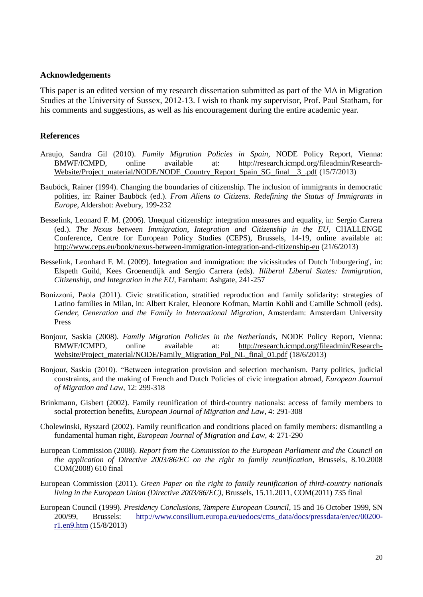#### **Acknowledgements**

This paper is an edited version of my research dissertation submitted as part of the MA in Migration Studies at the University of Sussex, 2012-13. I wish to thank my supervisor, Prof. Paul Statham, for his comments and suggestions, as well as his encouragement during the entire academic year.

#### **References**

- Araujo, Sandra Gil (2010). *Family Migration Policies in Spain*, NODE Policy Report, Vienna: BMWF/ICMPD, online available at: [http://research.icmpd.org/fileadmin/Research-](http://research.icmpd.org/fileadmin/Research-Website/Project_material/NODE/NODE_Country_Report_Spain_SG_final__3_.pdf)[Website/Project\\_material/NODE/NODE\\_Country\\_Report\\_Spain\\_SG\\_final\\_\\_3\\_.pdf](http://research.icmpd.org/fileadmin/Research-Website/Project_material/NODE/NODE_Country_Report_Spain_SG_final__3_.pdf) (15/7/2013)
- Bauböck, Rainer (1994). Changing the boundaries of citizenship. The inclusion of immigrants in democratic polities, in: Rainer Bauböck (ed.). *From Aliens to Citizens. Redefining the Status of Immigrants in Europe*, Aldershot: Avebury, 199-232
- Besselink, Leonard F. M. (2006). Unequal citizenship: integration measures and equality, in: Sergio Carrera (ed.). *The Nexus between Immigration, Integration and Citizenship in the EU*, CHALLENGE Conference, Centre for European Policy Studies (CEPS), Brussels, 14-19, online available at: <http://www.ceps.eu/book/nexus-between-immigration-integration-and-citizenship-eu> (21/6/2013)
- Besselink, Leonhard F. M. (2009). Integration and immigration: the vicissitudes of Dutch 'Inburgering', in: Elspeth Guild, Kees Groenendijk and Sergio Carrera (eds). *Illiberal Liberal States: Immigration, Citizenship, and Integration in the EU*, Farnham: Ashgate, 241-257
- Bonizzoni, Paola (2011). Civic stratification, stratified reproduction and family solidarity: strategies of Latino families in Milan, in: Albert Kraler, Eleonore Kofman, Martin Kohli and Camille Schmoll (eds). *Gender, Generation and the Family in International Migration*, Amsterdam: Amsterdam University Press
- Bonjour, Saskia (2008). *Family Migration Policies in the Netherlands*, NODE Policy Report, Vienna: BMWF/ICMPD, online available at: [http://research.icmpd.org/fileadmin/Research-](http://research.icmpd.org/fileadmin/Research-Website/Project_material/NODE/Family_Migration_Pol_NL_final_01.pdf)[Website/Project\\_material/NODE/Family\\_Migration\\_Pol\\_NL\\_final\\_01.pdf](http://research.icmpd.org/fileadmin/Research-Website/Project_material/NODE/Family_Migration_Pol_NL_final_01.pdf) (18/6/2013)
- Bonjour, Saskia (2010). "Between integration provision and selection mechanism. Party politics, judicial constraints, and the making of French and Dutch Policies of civic integration abroad, *European Journal of Migration and Law*, 12: 299-318
- Brinkmann, Gisbert (2002). Family reunification of third-country nationals: access of family members to social protection benefits, *European Journal of Migration and Law*, 4: 291-308
- Cholewinski, Ryszard (2002). Family reunification and conditions placed on family members: dismantling a fundamental human right, *European Journal of Migration and Law*, 4: 271-290
- European Commission (2008). *Report from the Commission to the European Parliament and the Council on the application of Directive 2003/86/EC on the right to family reunification*, Brussels, 8.10.2008 COM(2008) 610 final
- European Commission (2011). *Green Paper on the right to family reunification of third-country nationals living in the European Union (Directive 2003/86/EC)*, Brussels, 15.11.2011, COM(2011) 735 final
- European Council (1999). *Presidency Conclusions, Tampere European Council*, 15 and 16 October 1999, SN 200/99, Brussels: http://www.consilium.europa.eu/uedocs/cms data/docs/pressdata/en/ec/00200[r1.en9.htm](http://www.consilium.europa.eu/uedocs/cms_data/docs/pressdata/en/ec/00200-r1.en9.htm) (15/8/2013)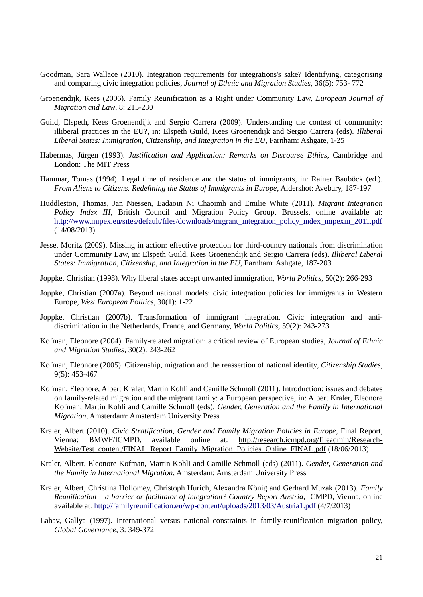- Goodman, Sara Wallace (2010). Integration requirements for integrations's sake? Identifying, categorising and comparing civic integration policies, *Journal of Ethnic and Migration Studies*, 36(5): 753- 772
- Groenendijk, Kees (2006). Family Reunification as a Right under Community Law, *European Journal of Migration and Law*, 8: 215-230
- Guild, Elspeth, Kees Groenendijk and Sergio Carrera (2009). Understanding the contest of community: illiberal practices in the EU?, in: Elspeth Guild, Kees Groenendijk and Sergio Carrera (eds). *Illiberal Liberal States: Immigration, Citizenship, and Integration in the EU*, Farnham: Ashgate, 1-25
- Habermas, Jürgen (1993). *Justification and Application: Remarks on Discourse Ethics*, Cambridge and London: The MIT Press
- Hammar, Tomas (1994). Legal time of residence and the status of immigrants, in: Rainer Bauböck (ed.). *From Aliens to Citizens. Redefining the Status of Immigrants in Europe*, Aldershot: Avebury, 187-197
- Huddleston, Thomas, Jan Niessen, Eadaoin Ni Chaoimh and Emilie White (2011). *Migrant Integration Policy Index III*, British Council and Migration Policy Group, Brussels, online available at: [http://www.mipex.eu/sites/default/files/downloads/migrant\\_integration\\_policy\\_index\\_mipexiii\\_2011.pdf](http://www.mipex.eu/sites/default/files/downloads/migrant_integration_policy_index_mipexiii_2011.pdf) (14/08/2013)
- Jesse, Moritz (2009). Missing in action: effective protection for third-country nationals from discrimination under Community Law, in: Elspeth Guild, Kees Groenendijk and Sergio Carrera (eds). *Illiberal Liberal States: Immigration, Citizenship, and Integration in the EU*, Farnham: Ashgate, 187-203
- Joppke, Christian (1998). Why liberal states accept unwanted immigration, *World Politics*, 50(2): 266-293
- Joppke, Christian (2007a). Beyond national models: civic integration policies for immigrants in Western Europe, *West European Politics*, 30(1): 1-22
- Joppke, Christian (2007b). Transformation of immigrant integration. Civic integration and antidiscrimination in the Netherlands, France, and Germany, *World Politics*, 59(2): 243-273
- Kofman, Eleonore (2004). Family-related migration: a critical review of European studies, *Journal of Ethnic and Migration Studies*, 30(2): 243-262
- Kofman, Eleonore (2005). Citizenship, migration and the reassertion of national identity, *Citizenship Studies*, 9(5): 453-467
- Kofman, Eleonore, Albert Kraler, Martin Kohli and Camille Schmoll (2011). Introduction: issues and debates on family-related migration and the migrant family: a European perspective, in: Albert Kraler, Eleonore Kofman, Martin Kohli and Camille Schmoll (eds). *Gender, Generation and the Family in International Migration*, Amsterdam: Amsterdam University Press
- Kraler, Albert (2010). *Civic Stratification, Gender and Family Migration Policies in Europe,* Final Report, Vienna: BMWF/ICMPD, available online at: [http://research.icmpd.org/fileadmin/Research-](http://research.icmpd.org/fileadmin/Research-Website/Test_content/FINAL_Report_Family_Migration_Policies_Online_FINAL.pdf)[Website/Test\\_content/FINAL\\_Report\\_Family\\_Migration\\_Policies\\_Online\\_FINAL.pdf](http://research.icmpd.org/fileadmin/Research-Website/Test_content/FINAL_Report_Family_Migration_Policies_Online_FINAL.pdf) (18/06/2013)
- Kraler, Albert, Eleonore Kofman, Martin Kohli and Camille Schmoll (eds) (2011). *Gender, Generation and the Family in International Migration*, Amsterdam: Amsterdam University Press
- Kraler, Albert, Christina Hollomey, Christoph Hurich, Alexandra König and Gerhard Muzak (2013). *Family Reunification – a barrier or facilitator of integration? Country Report Austria*, ICMPD, Vienna, online available at:<http://familyreunification.eu/wp-content/uploads/2013/03/Austria1.pdf> (4/7/2013)
- Lahav, Gallya (1997). International versus national constraints in family-reunification migration policy, *Global Governance*, 3: 349-372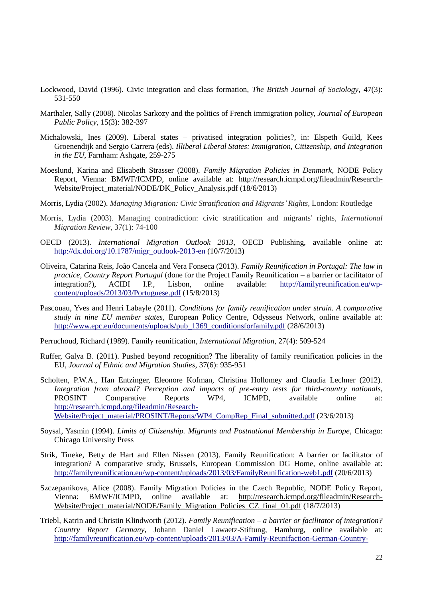- Lockwood, David (1996). Civic integration and class formation, *The British Journal of Sociology*, 47(3): 531-550
- Marthaler, Sally (2008). Nicolas Sarkozy and the politics of French immigration policy, *Journal of European Public Policy*, 15(3): 382-397
- Michalowski, Ines (2009). Liberal states privatised integration policies?, in: Elspeth Guild, Kees Groenendijk and Sergio Carrera (eds). *Illiberal Liberal States: Immigration, Citizenship, and Integration in the EU*, Farnham: Ashgate, 259-275
- Moeslund, Karina and Elisabeth Strasser (2008). *Family Migration Policies in Denmark*, NODE Policy Report, Vienna: BMWF/ICMPD, online available at: [http://research.icmpd.org/fileadmin/Research-](http://research.icmpd.org/fileadmin/Research-Website/Project_material/NODE/DK_Policy_Analysis.pdf)[Website/Project\\_material/NODE/DK\\_Policy\\_Analysis.pdf](http://research.icmpd.org/fileadmin/Research-Website/Project_material/NODE/DK_Policy_Analysis.pdf) (18/6/2013)
- Morris, Lydia (2002). *Managing Migration: Civic Stratification and Migrants'Rights,* London: Routledge
- Morris, Lydia (2003). Managing contradiction: civic stratification and migrants' rights, *International Migration Review*, 37(1): 74-100
- OECD (2013). *International Migration Outlook 2013*, OECD Publishing, available online at: [http://dx.doi.org/10.1787/migr\\_outlook-2013-en](http://dx.doi.org/10.1787/migr_outlook-2013-en) (10/7/2013)
- Oliveira, Catarina Reis, João Cancela and Vera Fonseca (2013). *Family Reunification in Portugal: The law in practice, Country Report Portugal* (done for the Project Family Reunification – a barrier or facilitator of integration?), ACIDI I.P., Lisbon, online available: [http://familyreunification.eu/wp](http://familyreunification.eu/wp-content/uploads/2013/03/Portuguese.pdf)[content/uploads/2013/03/Portuguese.pdf](http://familyreunification.eu/wp-content/uploads/2013/03/Portuguese.pdf) (15/8/2013)
- Pascouau, Yves and Henri Labayle (2011). *Conditions for family reunification under strain. A comparative study in nine EU member states*, European Policy Centre, Odysseus Network, online available at: [http://www.epc.eu/documents/uploads/pub\\_1369\\_conditionsforfamily.pdf](http://www.epc.eu/documents/uploads/pub_1369_conditionsforfamily.pdf) (28/6/2013)
- Perruchoud, Richard (1989). Family reunification, *International Migration*, 27(4): 509-524
- Ruffer, Galya B. (2011). Pushed beyond recognition? The liberality of family reunification policies in the EU, *Journal of Ethnic and Migration Studies*, 37(6): 935-951
- Scholten, P.W.A., Han Entzinger, Eleonore Kofman, Christina Hollomey and Claudia Lechner (2012). *Integration from abroad? Perception and impacts of pre-entry tests for third-country nationals,*  PROSINT Comparative Reports WP4, ICMPD, available online at: [http://research.icmpd.org/fileadmin/Research-](http://research.icmpd.org/fileadmin/Research-Website/Project_material/PROSINT/Reports/WP4_CompRep_Final_submitted.pdf)[Website/Project\\_material/PROSINT/Reports/WP4\\_CompRep\\_Final\\_submitted.pdf](http://research.icmpd.org/fileadmin/Research-Website/Project_material/PROSINT/Reports/WP4_CompRep_Final_submitted.pdf) (23/6/2013)
- Soysal, Yasmin (1994). *Limits of Citizenship. Migrants and Postnational Membership in Europe*, Chicago: Chicago University Press
- Strik, Tineke, Betty de Hart and Ellen Nissen (2013). Family Reunification: A barrier or facilitator of integration? A comparative study, Brussels, European Commission DG Home, online available at: <http://familyreunification.eu/wp-content/uploads/2013/03/FamilyReunification-web1.pdf> (20/6/2013)
- Szczepanikova, Alice (2008). Family Migration Policies in the Czech Republic, NODE Policy Report, Vienna: BMWF/ICMPD, online available at: [http://research.icmpd.org/fileadmin/Research-](http://research.icmpd.org/fileadmin/Research-Website/Project_material/NODE/Family_Migration_Policies_CZ_final_01.pdf)[Website/Project\\_material/NODE/Family\\_Migration\\_Policies\\_CZ\\_final\\_01.pdf](http://research.icmpd.org/fileadmin/Research-Website/Project_material/NODE/Family_Migration_Policies_CZ_final_01.pdf) (18/7/2013)
- Triebl, Katrin and Christin Klindworth (2012). *Family Reunification – a barrier or facilitator of integration? Country Report Germany*, Johann Daniel Lawaetz-Stiftung, Hamburg, online available at: [http://familyreunification.eu/wp-content/uploads/2013/03/A-Family-Reunifaction-German-Country-](http://familyreunification.eu/wp-content/uploads/2013/03/A-Family-Reunifaction-German-Country-Report1.pdf)